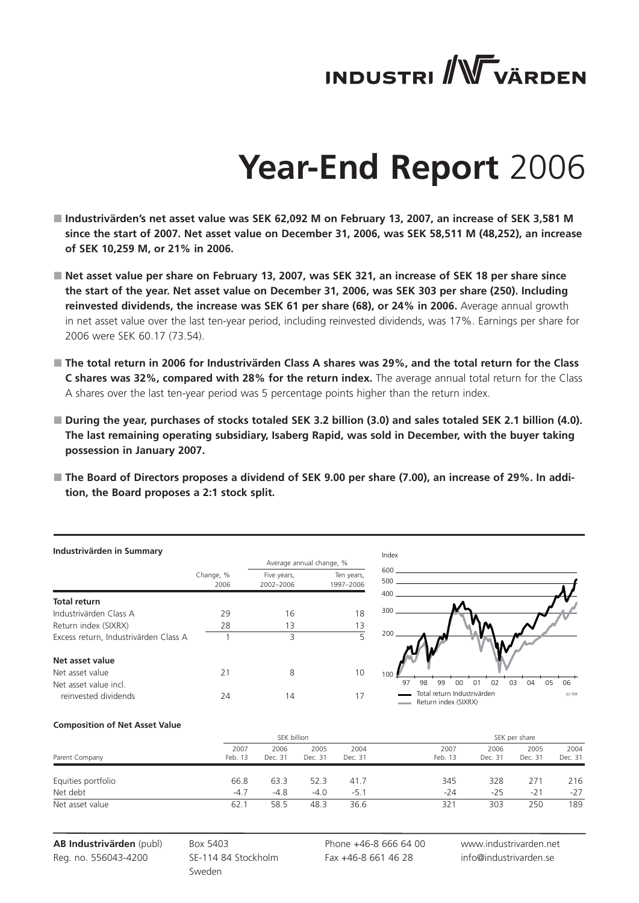## **INDUSTRI** WVÄRDEN

# **Year-End Report** 2006

- **Industrivärden's net asset value was SEK 62,092 M on February 13, 2007, an increase of SEK 3,581 M since the start of 2007. Net asset value on December 31, 2006, was SEK 58,511 M (48,252), an increase of SEK 10,259 M, or 21% in 2006.**
- **Net asset value per share on February 13, 2007, was SEK 321, an increase of SEK 18 per share since the start of the year. Net asset value on December 31, 2006, was SEK 303 per share (250). Including reinvested dividends, the increase was SEK 61 per share (68), or 24% in 2006.** Average annual growth in net asset value over the last ten-year period, including reinvested dividends, was 17%. Earnings per share for 2006 were SEK 60.17 (73.54).
- **The total return in 2006 for Industrivärden Class A shares was 29%, and the total return for the Class C shares was 32%, compared with 28% for the return index.** The average annual total return for the Class A shares over the last ten-year period was 5 percentage points higher than the return index.
- During the year, purchases of stocks totaled SEK 3.2 billion (3.0) and sales totaled SEK 2.1 billion (4.0). **The last remaining operating subsidiary, Isaberg Rapid, was sold in December, with the buyer taking possession in January 2007.**
- The Board of Directors proposes a dividend of SEK 9.00 per share (7.00), an increase of 29%. In addi**tion, the Board proposes a 2:1 stock split.**

| Industrivärden in Summary             |                   |                          |                         | Index                                                                |
|---------------------------------------|-------------------|--------------------------|-------------------------|----------------------------------------------------------------------|
|                                       |                   | Average annual change, % |                         |                                                                      |
|                                       | Change, %<br>2006 | Five years,<br>2002-2006 | Ten years,<br>1997-2006 | 600<br>500                                                           |
| <b>Total return</b>                   |                   |                          |                         | 400                                                                  |
| Industrivärden Class A                | 29                | 16                       | 18                      | 300                                                                  |
| Return index (SIXRX)                  | 28                | 13                       | 13                      |                                                                      |
| Excess return, Industrivärden Class A |                   | 3                        | 5                       | 200                                                                  |
| Net asset value                       |                   |                          |                         |                                                                      |
| Net asset value                       | 21                | 8                        | 10                      | 100                                                                  |
| Net asset value incl.                 |                   |                          |                         | 97<br>98<br>99<br>04<br>06<br>03<br>05<br>0 <sup>0</sup><br>02<br>01 |
| reinvested dividends                  | 24                | 14                       | 17                      | Total return Industrivärden<br>$(c)$ SIX<br>Return index (SIXRX)     |

#### **Composition of Net Asset Value**

|                    |                 | SEK billion     |                 |                 | SEK per share   |                 |                 |                 |
|--------------------|-----------------|-----------------|-----------------|-----------------|-----------------|-----------------|-----------------|-----------------|
| Parent Company     | 2007<br>Feb. 13 | 2006<br>Dec. 31 | 2005<br>Dec. 31 | 2004<br>Dec. 31 | 2007<br>Feb. 13 | 2006<br>Dec. 31 | 2005<br>Dec. 31 | 2004<br>Dec. 31 |
| Equities portfolio | 66.8            | 63.3            | 52.3            | 41.7            | 345             | 328             | 271             | 216             |
| Net debt           | $-4.7$          | $-4.8$          | $-4.0$          | $-5.1$          | $-24$           | $-25$           | $-21$           | $-27$           |
| Net asset value    | 62.             | 58.5            | 48.3            | 36.6            | 321             | 303             | 250             | 189             |

**AB Industrivärden** (publ) Reg. no. 556043-4200

Box 5403 SE-114 84 Stockholm Sweden

Phone +46-8 666 64 00 Fax +46-8 661 46 28

www.industrivarden.net info@industrivarden.se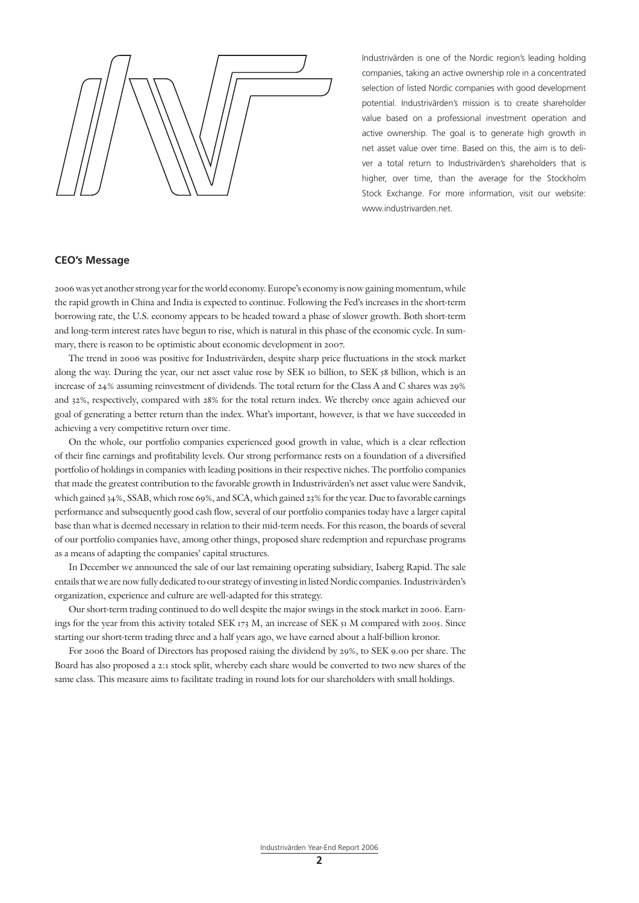Industrivärden is one of the Nordic region's leading holding companies, taking an active ownership role in a concentrated selection of listed Nordic companies with good development potential. Industrivärden's mission is to create shareholder value based on a professional investment operation and active ownership. The goal is to generate high growth in net asset value over time. Based on this, the aim is to deliver a total return to Industrivärden's shareholders that is higher, over time, than the average for the Stockholm Stock Exchange. For more information, visit our website: www.industrivarden.net.

#### **CEO's Message**

2006 was yet another strong year for the world economy. Europe's economy is now gaining momentum, while the rapid growth in China and India is expected to continue. Following the Fed's increases in the short-term borrowing rate, the U.S. economy appears to be headed toward a phase of slower growth. Both short-term and long-term interest rates have begun to rise, which is natural in this phase of the economic cycle. In summary, there is reason to be optimistic about economic development in 2007.

The trend in 2006 was positive for Industrivärden, despite sharp price fluctuations in the stock market along the way. During the year, our net asset value rose by SEK 10 billion, to SEK 58 billion, which is an increase of 24% assuming reinvestment of dividends. The total return for the Class A and C shares was 29% and 32%, respectively, compared with 28% for the total return index. We thereby once again achieved our goal of generating a better return than the index. What's important, however, is that we have succeeded in achieving a very competitive return over time.

On the whole, our portfolio companies experienced good growth in value, which is a clear reflection of their fine earnings and profitability levels. Our strong performance rests on a foundation of a diversified portfolio of holdings in companies with leading positions in their respective niches. The portfolio companies that made the greatest contribution to the favorable growth in Industrivärden's net asset value were Sandvik, which gained 34%, SSAB, which rose 69%, and SCA, which gained 23% for the year. Due to favorable earnings performance and subsequently good cash flow, several of our portfolio companies today have a larger capital base than what is deemed necessary in relation to their mid-term needs. For this reason, the boards of several of our portfolio companies have, among other things, proposed share redemption and repurchase programs as a means of adapting the companies' capital structures.

In December we announced the sale of our last remaining operating subsidiary, Isaberg Rapid. The sale entails that we are now fully dedicated to our strategy of investing in listed Nordic companies. Industrivärden's organization, experience and culture are well-adapted for this strategy.

Our short-term trading continued to do well despite the major swings in the stock market in 2006. Earnings for the year from this activity totaled SEK 173 M, an increase of SEK 51 M compared with 2005. Since starting our short-term trading three and a half years ago, we have earned about a half-billion kronor.

For 2006 the Board of Directors has proposed raising the dividend by 29%, to SEK 9.00 per share. The Board has also proposed a 2:1 stock split, whereby each share would be converted to two new shares of the same class. This measure aims to facilitate trading in round lots for our shareholders with small holdings.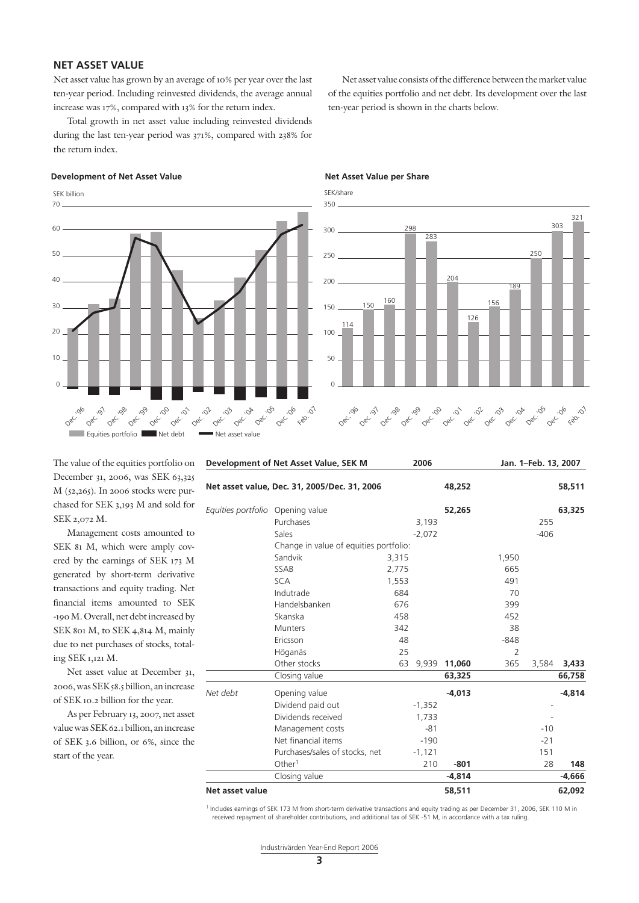#### **NET ASSET VALUE**

Net asset value has grown by an average of 10% per year over the last ten-year period. Including reinvested dividends, the average annual increase was 17%, compared with 13% for the return index.

Total growth in net asset value including reinvested dividends during the last ten-year period was 371%, compared with 238% for the return index.

#### **Development of Net Asset Value Net Asset Value per Share Net Asset Value per Share**



The value of the equities portfolio on December 31, 2006, was SEK 63,325 M (52,265). In 2006 stocks were purchased for SEK 3,193 M and sold for SEK 2,072 M.

Management costs amounted to SEK 81 M, which were amply covered by the earnings of SEK 173 M generated by short-term derivative transactions and equity trading. Net financial items amounted to SEK -190 M. Overall, net debt increased by SEK 801 M, to SEK 4,814 M, mainly due to net purchases of stocks, totaling SEK 1,121 M.

Net asset value at December 31, 2006, was SEK 58.5 billion, an increase of SEK 10.2 billion for the year.

As per February 13, 2007, net asset value was SEK 62.1 billion, an increase of SEK 3.6 billion, or 6%, since the start of the year.

Net asset value consists of the difference between the market value of the equities portfolio and net debt. Its development over the last ten-year period is shown in the charts below.

#### 114  $150$ 160  $298$  $783$ 204 126 156 189  $250$ 303 321  $\Omega$ 50  $100$ 150 200 250 300 350

SEK/share



Skanska 458 452 Munters 342 38 Ericsson 48 -848 Höganäs 25 2

*Net debt* Opening value **-4,013 -4,814**

**Net asset value 58,511 62,092** 1 Includes earnings of SEK 173 M from short-term derivative transactions and equity trading as per December 31, 2006, SEK 110 M in

Management costs and the set of the set of the set of the set of the set of the set of the set of the set of the set of the set of the set of the set of the set of the set of the set of the set of the set of the set of the Net financial items -190 -21 Purchases/sales of stocks, net -1,121 151 Other1 210 **-801** 28 **148** Closing value **-4,814 -4,666**

Other stocks 63 9,939 **11,060** 365 3,584 **3,433** Closing value **63,325 66,758**

| Industrivärden Year-End Report 2006 |  |
|-------------------------------------|--|

received repayment of shareholder contributions, and additional tax of SEK -51 M, in accordance with a tax ruling.

Dividend paid out 1,352 Dividends received 1,733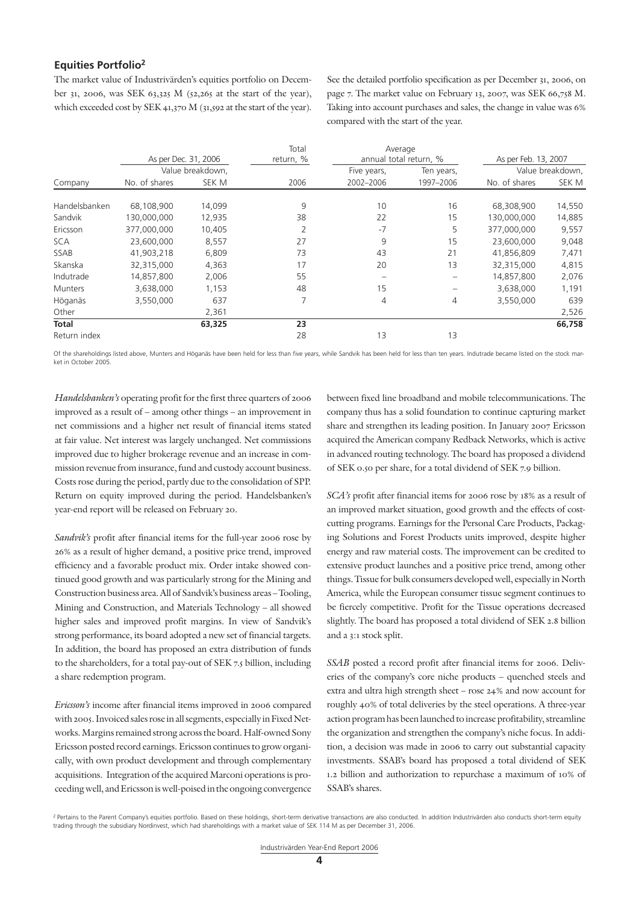#### **Equities Portfolio2**

The market value of Industrivärden's equities portfolio on December 31, 2006, was SEK 63,325 M (52,265 at the start of the year), which exceeded cost by SEK 41,370 M (31,592 at the start of the year).

See the detailed portfolio specification as per December 31, 2006, on page 7. The market value on February 13, 2007, was SEK 66,758 M. Taking into account purchases and sales, the change in value was 6% compared with the start of the year.

|                |                      | Total<br>Average |           |             |                        |                      |                  |
|----------------|----------------------|------------------|-----------|-------------|------------------------|----------------------|------------------|
|                | As per Dec. 31, 2006 |                  | return, % |             | annual total return, % | As per Feb. 13, 2007 |                  |
|                |                      | Value breakdown, |           | Five years, | Ten years,             |                      | Value breakdown, |
| Company        | No. of shares        | SEK M            | 2006      | 2002-2006   | 1997-2006              | No. of shares        | SEK M            |
|                |                      |                  |           |             |                        |                      |                  |
| Handelsbanken  | 68,108,900           | 14,099           | 9         | 10          | 16                     | 68,308,900           | 14,550           |
| Sandvik        | 130,000,000          | 12,935           | 38        | 22          | 15                     | 130,000,000          | 14,885           |
| Ericsson       | 377,000,000          | 10,405           | 2         | $-7$        | 5                      | 377,000,000          | 9,557            |
| <b>SCA</b>     | 23,600,000           | 8,557            | 27        | 9           | 15                     | 23,600,000           | 9,048            |
| SSAB           | 41,903,218           | 6,809            | 73        | 43          | 21                     | 41,856,809           | 7,471            |
| Skanska        | 32,315,000           | 4,363            | 17        | 20          | 13                     | 32,315,000           | 4,815            |
| Indutrade      | 14,857,800           | 2,006            | 55        |             | -                      | 14,857,800           | 2,076            |
| <b>Munters</b> | 3,638,000            | 1,153            | 48        | 15          |                        | 3,638,000            | 1,191            |
| Höganäs        | 3,550,000            | 637              | 7         | 4           | 4                      | 3,550,000            | 639              |
| Other          |                      | 2,361            |           |             |                        |                      | 2,526            |
| <b>Total</b>   |                      | 63,325           | 23        |             |                        |                      | 66,758           |
| Return index   |                      |                  | 28        | 13          | 13                     |                      |                  |

Of the shareholdings listed above, Munters and Höganäs have been held for less than five years, while Sandvik has been held for less than ten years. Indutrade became listed on the stock market in October 2005.

*Handelsbanken's* operating profit for the first three quarters of 2006 improved as a result of – among other things – an improvement in net commissions and a higher net result of financial items stated at fair value. Net interest was largely unchanged. Net commissions improved due to higher brokerage revenue and an increase in commission revenue from insurance, fund and custody account business. Costs rose during the period, partly due to the consolidation of SPP. Return on equity improved during the period. Handelsbanken's year-end report will be released on February 20.

*Sandvik's* profit after financial items for the full-year 2006 rose by 26% as a result of higher demand, a positive price trend, improved efficiency and a favorable product mix. Order intake showed continued good growth and was particularly strong for the Mining and Construction business area. All of Sandvik's business areas – Tooling, Mining and Construction, and Materials Technology – all showed higher sales and improved profit margins. In view of Sandvik's strong performance, its board adopted a new set of financial targets. In addition, the board has proposed an extra distribution of funds to the shareholders, for a total pay-out of SEK 7.5 billion, including a share redemption program.

*Ericsson's* income after financial items improved in 2006 compared with 2005. Invoiced sales rose in all segments, especially in Fixed Networks. Margins remained strong across the board. Half-owned Sony Ericsson posted record earnings. Ericsson continues to grow organically, with own product development and through complementary acquisitions. Integration of the acquired Marconi operations is proceeding well, and Ericsson is well-poised in the ongoing convergence

between fixed line broadband and mobile telecommunications. The company thus has a solid foundation to continue capturing market share and strengthen its leading position. In January 2007 Ericsson acquired the American company Redback Networks, which is active in advanced routing technology. The board has proposed a dividend of SEK 0.50 per share, for a total dividend of SEK 7.9 billion.

*SCA's* profit after financial items for 2006 rose by 18% as a result of an improved market situation, good growth and the effects of costcutting programs. Earnings for the Personal Care Products, Packaging Solutions and Forest Products units improved, despite higher energy and raw material costs. The improvement can be credited to extensive product launches and a positive price trend, among other things. Tissue for bulk consumers developed well, especially in North America, while the European consumer tissue segment continues to be fiercely competitive. Profit for the Tissue operations decreased slightly. The board has proposed a total dividend of SEK 2.8 billion and a 3:1 stock split.

*SSAB* posted a record profit after financial items for 2006. Deliveries of the company's core niche products – quenched steels and extra and ultra high strength sheet – rose 24% and now account for roughly 40% of total deliveries by the steel operations. A three-year action program has been launched to increase profitability, streamline the organization and strengthen the company's niche focus. In addition, a decision was made in 2006 to carry out substantial capacity investments. SSAB's board has proposed a total dividend of SEK 1.2 billion and authorization to repurchase a maximum of 10% of SSAB's shares.

<sup>&</sup>lt;sup>2</sup> Pertains to the Parent Company's equities portfolio. Based on these holdings, short-term derivative transactions are also conducted. In addition Industrivärden also conducts short-term equity trading through the subsidiary Nordinvest, which had shareholdings with a market value of SEK 114 M as per December 31, 2006.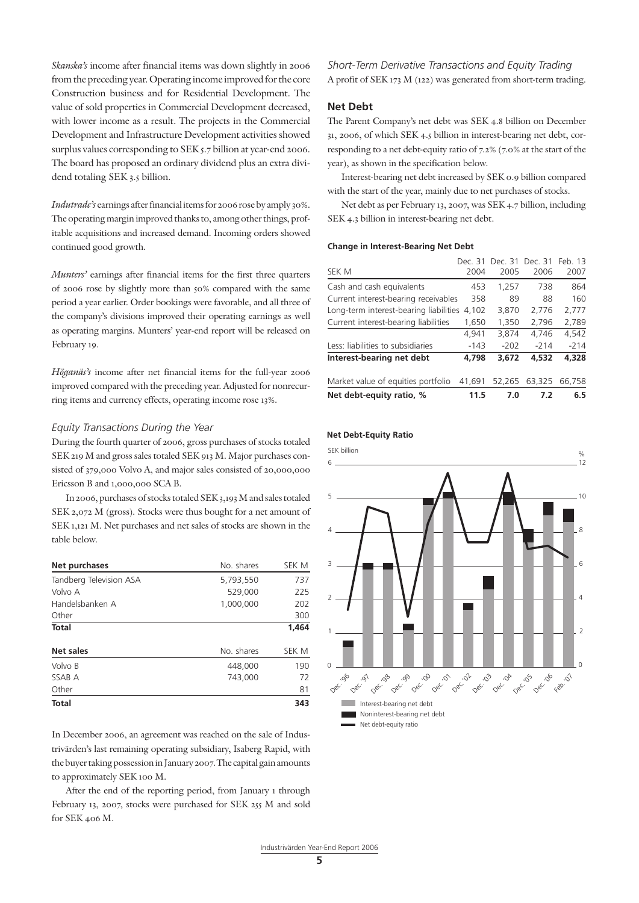*Skanska's* income after financial items was down slightly in 2006 from the preceding year. Operating income improved for the core Construction business and for Residential Development. The value of sold properties in Commercial Development decreased, with lower income as a result. The projects in the Commercial Development and Infrastructure Development activities showed surplus values corresponding to SEK 5.7 billion at year-end 2006. The board has proposed an ordinary dividend plus an extra dividend totaling SEK 3.5 billion.

*Indutrade's* earnings after financial items for 2006 rose by amply 30%. The operating margin improved thanks to, among other things, profitable acquisitions and increased demand. Incoming orders showed continued good growth.

*Munters'* earnings after financial items for the first three quarters of 2006 rose by slightly more than 50% compared with the same period a year earlier. Order bookings were favorable, and all three of the company's divisions improved their operating earnings as well as operating margins. Munters' year-end report will be released on February 19.

*Höganäs's* income after net financial items for the full-year 2006 improved compared with the preceding year. Adjusted for nonrecurring items and currency effects, operating income rose 13%.

#### *Equity Transactions During the Year*

During the fourth quarter of 2006, gross purchases of stocks totaled SEK 219 M and gross sales totaled SEK 913 M. Major purchases consisted of 379,000 Volvo A, and major sales consisted of 20,000,000 Ericsson B and 1,000,000 SCA B.

In 2006, purchases of stocks totaled SEK 3,193 M and sales totaled SEK 2,072 M (gross). Stocks were thus bought for a net amount of SEK 1,121 M. Net purchases and net sales of stocks are shown in the table below.

| Net purchases           | No. shares | SEK M |
|-------------------------|------------|-------|
| Tandberg Television ASA | 5,793,550  | 737   |
| Volvo A                 | 529,000    | 225   |
| Handelsbanken A         | 1.000.000  | 202   |
| Other                   |            | 300   |
| <b>Total</b>            |            | 1.464 |
| Net sales               | No. shares | SEK M |
| Volvo B                 | 448,000    | 190   |
| SSAB A                  | 743.000    | 72    |
| Other                   |            | 81    |
| <b>Total</b>            |            | 343   |

In December 2006, an agreement was reached on the sale of Industrivärden's last remaining operating subsidiary, Isaberg Rapid, with the buyer taking possession in January 2007. The capital gain amounts to approximately SEK 100 M.

After the end of the reporting period, from January 1 through February 13, 2007, stocks were purchased for SEK 255 M and sold for SEK 406 M.

*Short-Term Derivative Transactions and Equity Trading* A profit of SEK 173 M (122) was generated from short-term trading.

#### **Net Debt**

The Parent Company's net debt was SEK 4.8 billion on December 31, 2006, of which SEK 4.5 billion in interest-bearing net debt, corresponding to a net debt-equity ratio of 7.2% (7.0% at the start of the year), as shown in the specification below.

Interest-bearing net debt increased by SEK 0.9 billion compared with the start of the year, mainly due to net purchases of stocks.

Net debt as per February 13, 2007, was SEK 4.7 billion, including SEK 4.3 billion in interest-bearing net debt.

#### **Change in Interest-Bearing Net Debt**

| Net debt-equity ratio, %               | 11.5   | 7.0     | 7.2     | 6.5     |
|----------------------------------------|--------|---------|---------|---------|
| Market value of equities portfolio     | 41.691 | 52,265  | 63,325  | 66.758  |
| Interest-bearing net debt              | 4.798  | 3.672   | 4.532   | 4,328   |
| Less: liabilities to subsidiaries      | $-143$ | $-202$  | $-214$  | $-214$  |
|                                        | 4,941  | 3.874   | 4.746   | 4,542   |
| Current interest-bearing liabilities   | 1,650  | 1,350   | 2,796   | 2,789   |
| Long-term interest-bearing liabilities | 4,102  | 3,870   | 2,776   | 2,777   |
| Current interest-bearing receivables   | 358    | 89      | 88      | 160     |
| Cash and cash equivalents              | 453    | 1,257   | 738     | 864     |
| SEK M                                  | 2004   | 2005    | 2006    | 2007    |
|                                        | Dec 31 | Dec. 31 | Dec. 31 | Feb. 13 |



#### **Net Debt-Equity Ratio**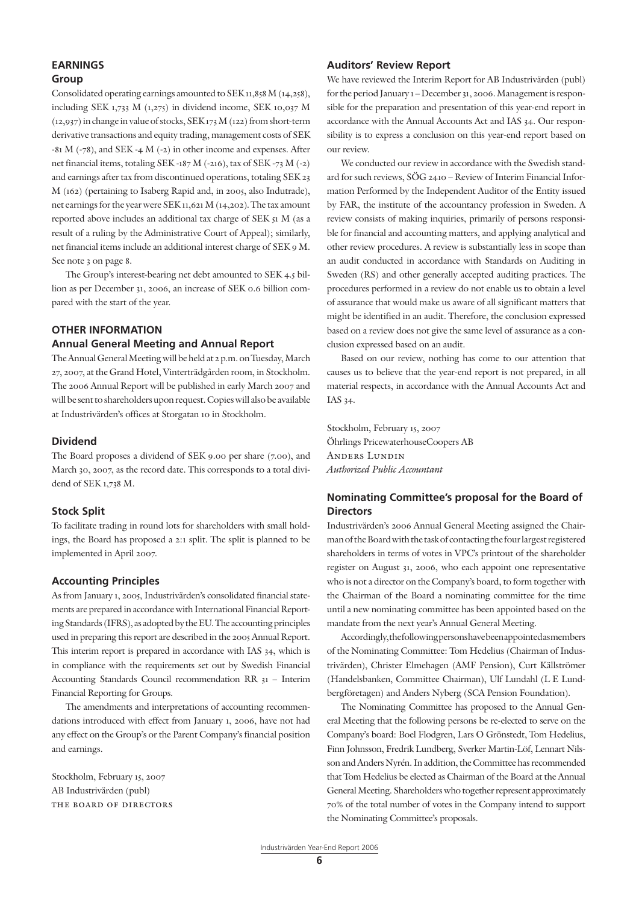### **EARNINGS**

#### **Group**

Consolidated operating earnings amounted to SEK 11,858 M (14,258), including SEK 1,733 M (1,275) in dividend income, SEK 10,037 M (12,937) in change in value of stocks, SEK 173 M (122) from short-term derivative transactions and equity trading, management costs of SEK -81 M (-78), and SEK -4 M (-2) in other income and expenses. After net financial items, totaling SEK -187 M (-216), tax of SEK -73 M (-2) and earnings after tax from discontinued operations, totaling SEK 23 M (162) (pertaining to Isaberg Rapid and, in 2005, also Indutrade), net earnings for the year were SEK 11,621 M (14,202). The tax amount reported above includes an additional tax charge of SEK 51 M (as a result of a ruling by the Administrative Court of Appeal); similarly, net financial items include an additional interest charge of SEK 9 M. See note 3 on page 8.

The Group's interest-bearing net debt amounted to SEK 4.5 billion as per December 31, 2006, an increase of SEK 0.6 billion compared with the start of the year.

#### **OTHER INFORMATION**

#### **Annual General Meeting and Annual Report**

The Annual General Meeting will be held at 2 p.m. on Tuesday, March 27, 2007, at the Grand Hotel, Vinterträdgården room, in Stockholm. The 2006 Annual Report will be published in early March 2007 and will be sent to shareholders upon request. Copies will also be available at Industrivärden's offices at Storgatan 10 in Stockholm.

#### **Dividend**

The Board proposes a dividend of SEK 9.00 per share (7.00), and March 30, 2007, as the record date. This corresponds to a total dividend of SEK 1,738 M.

#### **Stock Split**

To facilitate trading in round lots for shareholders with small holdings, the Board has proposed a 2:1 split. The split is planned to be implemented in April 2007.

#### **Accounting Principles**

As from January 1, 2005, Industrivärden's consolidated financial statements are prepared in accordance with International Financial Reporting Standards (IFRS), as adopted by the EU. The accounting principles used in preparing this report are described in the 2005 Annual Report. This interim report is prepared in accordance with IAS 34, which is in compliance with the requirements set out by Swedish Financial Accounting Standards Council recommendation RR 31 – Interim Financial Reporting for Groups.

The amendments and interpretations of accounting recommendations introduced with effect from January 1, 2006, have not had any effect on the Group's or the Parent Company's financial position and earnings.

Stockholm, February 15, 2007 AB Industrivärden (publ) the board of directors

#### **Auditors' Review Report**

We have reviewed the Interim Report for AB Industrivärden (publ) for the period January 1 – December 31, 2006. Management is responsible for the preparation and presentation of this year-end report in accordance with the Annual Accounts Act and IAS 34. Our responsibility is to express a conclusion on this year-end report based on our review.

We conducted our review in accordance with the Swedish standard for such reviews, SÖG 2410 – Review of Interim Financial Information Performed by the Independent Auditor of the Entity issued by FAR, the institute of the accountancy profession in Sweden. A review consists of making inquiries, primarily of persons responsible for financial and accounting matters, and applying analytical and other review procedures. A review is substantially less in scope than an audit conducted in accordance with Standards on Auditing in Sweden (RS) and other generally accepted auditing practices. The procedures performed in a review do not enable us to obtain a level of assurance that would make us aware of all significant matters that might be identified in an audit. Therefore, the conclusion expressed based on a review does not give the same level of assurance as a conclusion expressed based on an audit.

Based on our review, nothing has come to our attention that causes us to believe that the year-end report is not prepared, in all material respects, in accordance with the Annual Accounts Act and IAS 34.

Stockholm, February 15, 2007 Öhrlings PricewaterhouseCoopers AB Anders Lundin *Authorized Public Accountant*

#### **Nominating Committee's proposal for the Board of Directors**

Industrivärden's 2006 Annual General Meeting assigned the Chairman of the Board with the task of contacting the four largest registered shareholders in terms of votes in VPC's printout of the shareholder register on August 31, 2006, who each appoint one representative who is not a director on the Company's board, to form together with the Chairman of the Board a nominating committee for the time until a new nominating committee has been appointed based on the mandate from the next year's Annual General Meeting.

Accordingly, the following persons have been appointed as members of the Nominating Committee: Tom Hedelius (Chairman of Industrivärden), Christer Elmehagen (AMF Pension), Curt Källströmer (Handelsbanken, Committee Chairman), Ulf Lundahl (L E Lundbergföretagen) and Anders Nyberg (SCA Pension Foundation).

The Nominating Committee has proposed to the Annual General Meeting that the following persons be re-elected to serve on the Company's board: Boel Flodgren, Lars O Grönstedt, Tom Hedelius, Finn Johnsson, Fredrik Lundberg, Sverker Martin-Löf, Lennart Nilsson and Anders Nyrén. In addition, the Committee has recommended that Tom Hedelius be elected as Chairman of the Board at the Annual General Meeting. Shareholders who together represent approximately 70% of the total number of votes in the Company intend to support the Nominating Committee's proposals.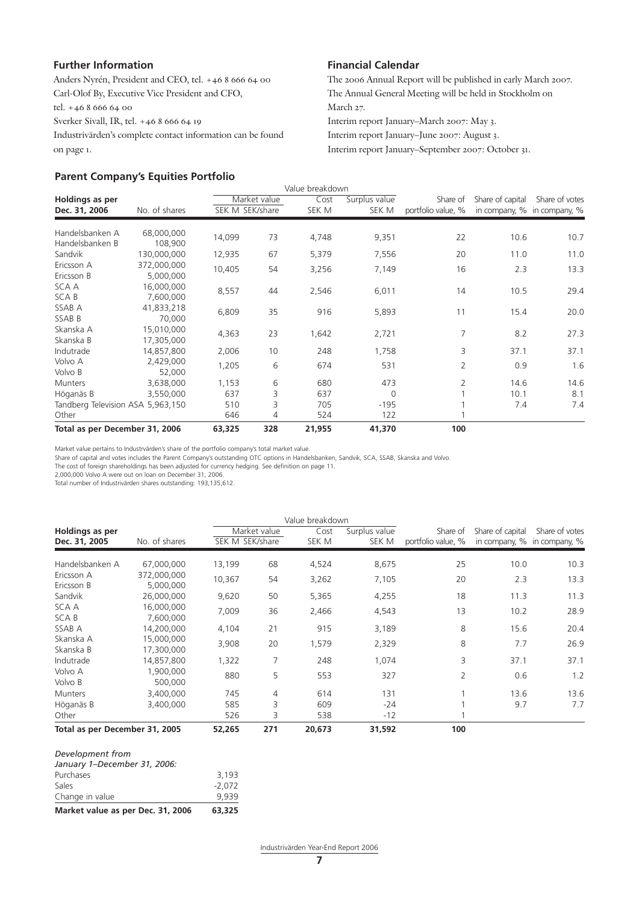#### **Further Information**

Anders Nyrén, President and CEO, tel. +46 8 666 64 00 Carl-Olof By, Executive Vice President and CFO, tel. +46 8 666 64 00 Sverker Sivall, IR, tel. +46 8 666 64 19 Industrivärden's complete contact information can be found on page 1.

#### **Financial Calendar**

The 2006 Annual Report will be published in early March 2007. The Annual General Meeting will be held in Stockholm on March 27.

Interim report January–March 2007: May 3.

Interim report January–June 2007: August 3.

Interim report January–September 2007: October 31.

#### **Parent Company's Equities Portfolio**

|                                   |               |                 |              | Value breakdown |               |                    |                             |                |
|-----------------------------------|---------------|-----------------|--------------|-----------------|---------------|--------------------|-----------------------------|----------------|
| <b>Holdings as per</b>            |               |                 | Market value | Cost            | Surplus value | Share of           | Share of capital            | Share of votes |
| Dec. 31, 2006                     | No. of shares | SEK M SEK/share |              | SEK M           | SEK M         | portfolio value, % | in company, % in company, % |                |
| Handelsbanken A                   | 68,000,000    |                 |              |                 |               |                    |                             |                |
| Handelsbanken B                   | 108,900       | 14,099          | 73           | 4,748           | 9,351         | 22                 | 10.6                        | 10.7           |
| Sandvik                           | 130,000,000   | 12,935          | 67           | 5,379           | 7,556         | 20                 | 11.0                        | 11.0           |
| Ericsson A                        | 372,000,000   | 10,405          | 54           | 3,256           | 7,149         | 16                 | 2.3                         | 13.3           |
| Ericsson B                        | 5,000,000     |                 |              |                 |               |                    |                             |                |
| SCA A                             | 16,000,000    | 8,557           | 44           | 2,546           | 6,011         | 14                 | 10.5                        | 29.4           |
| <b>SCAB</b>                       | 7,600,000     |                 |              |                 |               |                    |                             |                |
| SSAB A                            | 41,833,218    | 6,809           | 35           | 916             | 5,893         | 11                 | 15.4                        | 20.0           |
| SSAB B                            | 70,000        |                 |              |                 |               |                    |                             |                |
| Skanska A                         | 15,010,000    | 4,363           | 23           | 1,642           | 2,721         | 7                  | 8.2                         | 27.3           |
| Skanska B                         | 17,305,000    |                 |              |                 |               |                    |                             |                |
| Indutrade                         | 14,857,800    | 2,006           | 10           | 248             | 1,758         | 3                  | 37.1                        | 37.1           |
| Volvo A                           | 2,429,000     | 1,205           | 6            | 674             | 531           | 2                  | 0.9                         | 1.6            |
| Volvo B                           | 52,000        |                 |              |                 |               |                    |                             |                |
| <b>Munters</b>                    | 3,638,000     | 1,153           | 6            | 680             | 473           | 2                  | 14.6                        | 14.6           |
| Höganäs B                         | 3,550,000     | 637             | 3            | 637             | $\Omega$      |                    | 10.1                        | 8.1            |
| Tandberg Television ASA 5,963,150 |               | 510             | 3            | 705             | $-195$        |                    | 7.4                         | 7.4            |
| Other                             |               | 646             | 4            | 524             | 122           |                    |                             |                |
| Total as per December 31, 2006    |               | 63,325          | 328          | 21,955          | 41,370        | 100                |                             |                |

Market value pertains to Industrvärden's share of the portfolio company's total market value.

Share of capital and votes includes the Parent Company's outstanding OTC options in Handelsbanken, Sandvik, SCA, SSAB, Skanska and Volvo.

The cost of foreign shareholdings has been adjusted for currency hedging. See definition on page 11.

2,000,000 Volvo A were out on loan on December 31, 2006.

Total number of Industrivärden shares outstanding: 193,135,612.

|                                |                          |                 |              | Value breakdown |               |                    |                  |                                   |
|--------------------------------|--------------------------|-----------------|--------------|-----------------|---------------|--------------------|------------------|-----------------------------------|
| Holdings as per                |                          |                 | Market value | Cost            | Surplus value | Share of           | Share of capital | Share of votes                    |
| Dec. 31, 2005                  | No. of shares            | SEK M SEK/share |              | SEK M           | SEK M         | portfolio value, % |                  | in company, $\%$ in company, $\%$ |
|                                |                          |                 |              |                 |               |                    |                  |                                   |
| Handelsbanken A                | 67,000,000               | 13,199          | 68           | 4,524           | 8,675         | 25                 | 10.0             | 10.3                              |
| Ericsson A<br>Ericsson B       | 372,000,000<br>5,000,000 | 10,367          | 54           | 3,262           | 7,105         | 20                 | 2.3              | 13.3                              |
| Sandvik                        | 26,000,000               | 9,620           | 50           | 5,365           | 4,255         | 18                 | 11.3             | 11.3                              |
| SCA A<br>SCA B                 | 16,000,000<br>7,600,000  | 7,009           | 36           | 2,466           | 4,543         | 13                 | 10.2             | 28.9                              |
| SSAB A                         | 14,200,000               | 4,104           | 21           | 915             | 3,189         | 8                  | 15.6             | 20.4                              |
| Skanska A<br>Skanska B         | 15,000,000<br>17,300,000 | 3,908           | 20           | 1,579           | 2,329         | 8                  | 7.7              | 26.9                              |
| Indutrade                      | 14,857,800               | 1,322           | 7            | 248             | 1,074         | 3                  | 37.1             | 37.1                              |
| Volvo A<br>Volvo B             | 1,900,000<br>500,000     | 880             | 5            | 553             | 327           | 2                  | 0.6              | 1.2                               |
| <b>Munters</b>                 | 3,400,000                | 745             | 4            | 614             | 131           |                    | 13.6             | 13.6                              |
| Höganäs B                      | 3,400,000                | 585             | 3            | 609             | $-24$         |                    | 9.7              | 7.7                               |
| Other                          |                          | 526             | 3            | 538             | $-12$         |                    |                  |                                   |
| Total as per December 31, 2005 |                          | 52,265          | 271          | 20,673          | 31,592        | 100                |                  |                                   |

#### *Development from*

| Market value as per Dec. 31, 2006 | 63,325   |
|-----------------------------------|----------|
| Change in value                   | 9.939    |
| Sales                             | $-2.072$ |
| Purchases                         | 3.193    |
| January 1-December 31, 2006:      |          |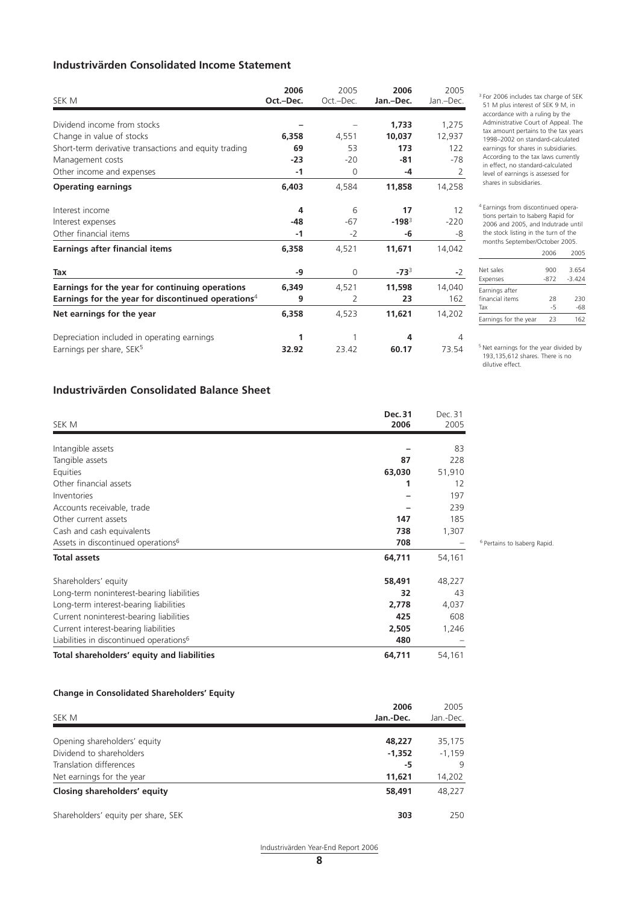#### **Industrivärden Consolidated Income Statement**

| SEK M                                                          | 2006<br>Oct.-Dec. | 2005<br>Oct.-Dec. | 2006<br>Jan.-Dec. | 2005<br>Jan.-Dec. |
|----------------------------------------------------------------|-------------------|-------------------|-------------------|-------------------|
| Dividend income from stocks                                    |                   |                   | 1,733             | 1,275             |
| Change in value of stocks                                      | 6,358             | 4,551             | 10,037            | 12,937            |
| Short-term derivative transactions and equity trading          | 69                | 53                | 173               | 122               |
| Management costs                                               | $-23$             | $-20$             | $-81$             | $-78$             |
| Other income and expenses                                      | -1                | 0                 | -4                | 2                 |
| <b>Operating earnings</b>                                      | 6,403             | 4,584             | 11,858            | 14,258            |
| Interest income                                                | 4                 | 6                 | 17                | 12                |
| Interest expenses                                              | -48               | $-67$             | $-198^3$          | $-220$            |
| Other financial items                                          | -1                | $-2$              | -6                | -8                |
| <b>Earnings after financial items</b>                          | 6,358             | 4,521             | 11,671            | 14,042            |
| Tax                                                            | -9                | $\Omega$          | $-73^{3}$         | $-2$              |
| Earnings for the year for continuing operations                | 6,349             | 4,521             | 11,598            | 14,040            |
| Earnings for the year for discontinued operations <sup>4</sup> | 9                 | 2                 | 23                | 162               |
| Net earnings for the year                                      | 6,358             | 4,523             | 11,621            | 14,202            |
| Depreciation included in operating earnings                    |                   |                   | 4                 | 4                 |
| Earnings per share, SEK <sup>5</sup>                           | 32.92             | 23.42             | 60.17             | 73.54             |

<sup>3</sup> For 2006 includes tax charge of SEK 51 M plus interest of SEK 9 M, in accordance with a ruling by the Administrative Court of Appeal. The tax amount pertains to the tax years 1998–2002 on standard-calculated earnings for shares in subsidiaries. According to the tax laws currently in effect, no standard-calculated level of earnings is assessed for shares in subsidiaries.

4 Earnings from discontinued operations pertain to Isaberg Rapid for 2006 and 2005, and Indutrade until the stock listing in the turn of the months September/October 2005.

|                       | 2006   | 2005     |
|-----------------------|--------|----------|
|                       |        |          |
| Net sales             | 900    | 3.654    |
| Expenses              | $-872$ | $-3.424$ |
| Earnings after        |        |          |
| financial items       | 28     | 230      |
| Tax                   | $-5$   | -68      |
| Earnings for the year | フヨ     | 162      |
|                       |        |          |

5 Net earnings for the year divided by 193,135,612 shares. There is no dilutive effect.

#### **Industrivärden Consolidated Balance Sheet**

| SEK M                                               | Dec. 31<br>2006 | Dec. 31<br>2005 |
|-----------------------------------------------------|-----------------|-----------------|
| Intangible assets                                   |                 | 83              |
| Tangible assets                                     | 87              | 228             |
| Equities                                            | 63,030          | 51,910          |
| Other financial assets                              | 1               | 12              |
| Inventories                                         |                 | 197             |
| Accounts receivable, trade                          |                 | 239             |
| Other current assets                                | 147             | 185             |
| Cash and cash equivalents                           | 738             | 1,307           |
| Assets in discontinued operations <sup>6</sup>      | 708             |                 |
| <b>Total assets</b>                                 | 64,711          | 54,161          |
| Shareholders' equity                                | 58,491          | 48,227          |
| Long-term noninterest-bearing liabilities           | 32              | 43              |
| Long-term interest-bearing liabilities              | 2,778           | 4,037           |
| Current noninterest-bearing liabilities             | 425             | 608             |
| Current interest-bearing liabilities                | 2,505           | 1,246           |
| Liabilities in discontinued operations <sup>6</sup> | 480             |                 |
| Total shareholders' equity and liabilities          | 64,711          | 54,161          |

#### 6 Pertains to Isaberg Rapid.

#### **Change in Consolidated Shareholders' Equity**

| SEK M                               | 2006<br>Jan.-Dec. | 2005<br>Jan.-Dec. |
|-------------------------------------|-------------------|-------------------|
| Opening shareholders' equity        | 48,227            | 35,175            |
| Dividend to shareholders            | $-1,352$          | $-1,159$          |
| Translation differences             | -5                | 9                 |
| Net earnings for the year           | 11,621            | 14,202            |
| Closing shareholders' equity        | 58,491            | 48,227            |
| Shareholders' equity per share, SEK | 303               | 250               |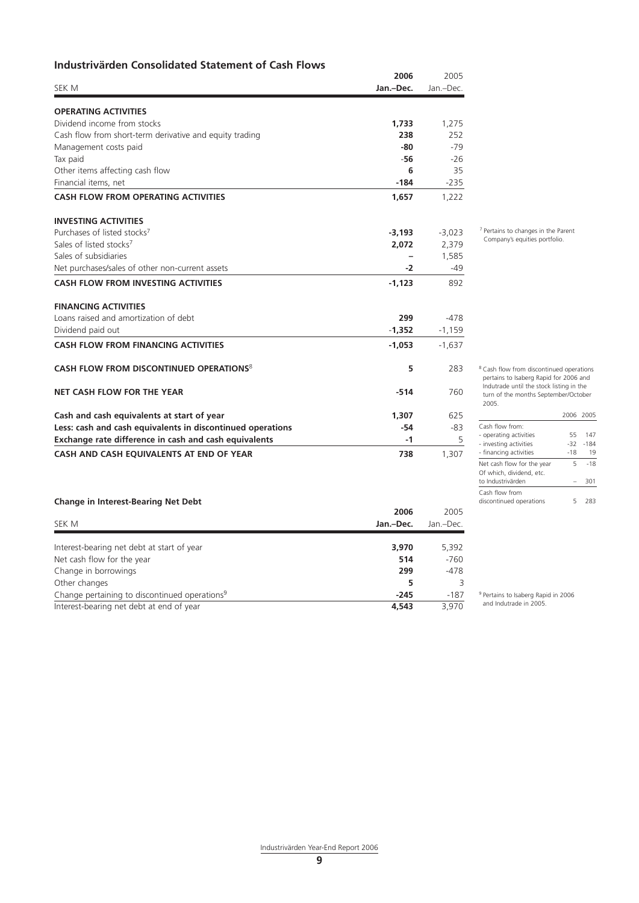|                                                            | 2006      | 2005      |
|------------------------------------------------------------|-----------|-----------|
| SEK M                                                      | Jan.-Dec. | Jan.-Dec. |
| <b>OPERATING ACTIVITIES</b>                                |           |           |
| Dividend income from stocks                                | 1,733     | 1,275     |
| Cash flow from short-term derivative and equity trading    | 238       | 252       |
| Management costs paid                                      | -80       | $-79$     |
| Tax paid                                                   | -56       | $-26$     |
| Other items affecting cash flow                            | 6         | 35        |
| Financial items, net                                       | -184      | -235      |
| <b>CASH FLOW FROM OPERATING ACTIVITIES</b>                 | 1,657     | 1,222     |
| <b>INVESTING ACTIVITIES</b>                                |           |           |
| Purchases of listed stocks <sup>7</sup>                    | -3,193    | $-3,023$  |
| Sales of listed stocks <sup>7</sup>                        | 2,072     | 2,379     |
| Sales of subsidiaries                                      |           | 1,585     |
| Net purchases/sales of other non-current assets            | -2        | -49       |
| <b>CASH FLOW FROM INVESTING ACTIVITIES</b>                 | $-1,123$  | 892       |
| <b>FINANCING ACTIVITIES</b>                                |           |           |
| Loans raised and amortization of debt                      | 299       | -478      |
| Dividend paid out                                          | $-1,352$  | $-1,159$  |
| <b>CASH FLOW FROM FINANCING ACTIVITIES</b>                 | $-1,053$  | $-1,637$  |
| <b>CASH FLOW FROM DISCONTINUED OPERATIONS<sup>8</sup></b>  | 5         | 283       |
| <b>NET CASH FLOW FOR THE YEAR</b>                          | $-514$    | 760       |
| Cash and cash equivalents at start of year                 | 1,307     | 625       |
| Less: cash and cash equivalents in discontinued operations | -54       | -83       |
| Exchange rate difference in cash and cash equivalents      | -1        | 5         |
| CASH AND CASH EQUIVALENTS AT END OF YEAR                   | 738       | 1,307     |
|                                                            |           |           |
| <b>Change in Interest-Bearing Net Debt</b>                 |           |           |
|                                                            | 2006      | 2005      |
| SEK M                                                      | Jan.-Dec. | Jan.-Dec. |

Interest-bearing net debt at start of year **3,970** 5,392<br>
Net cash flow for the year **3,970** 5,392 Net cash flow for the year **514** -760<br>
Change in borrowings **514** -778

Other changes **5** 3<br>Change pertaining to discontinued operations<sup>9</sup> 6 3<br>187 - **245** - 187 Change pertaining to discontinued operations<sup>9</sup> **-245** -187<br>
Interest-bearing net debt at end of vear<br> **4.543** 3.970

**Change in borrowings 299** 

Interest-bearing net debt at end of year

#### **Industrivärden Consolidated Statement of Cash Flows**

7 Pertains to changes in the Parent Company's equities portfolio.

8 Cash flow from discontinued operations pertains to Isaberg Rapid for 2006 and Indutrade until the stock listing in the turn of the months September/October 2005.

|                                                        | 2006 2005 |        |
|--------------------------------------------------------|-----------|--------|
| Cash flow from:                                        |           |        |
| - operating activities                                 | 55        | 147    |
| - investing activities                                 | -32       | $-184$ |
| - financing activities                                 | $-18$     | 19     |
| Net cash flow for the year<br>Of which, dividend, etc. | 5         | $-18$  |
| to Industrivärden                                      |           | 301    |
| Cash flow from                                         |           |        |
| discontinued operations                                |           |        |

### 9 Pertains to Isaberg Rapid in 2006

and Indutrade in 2005.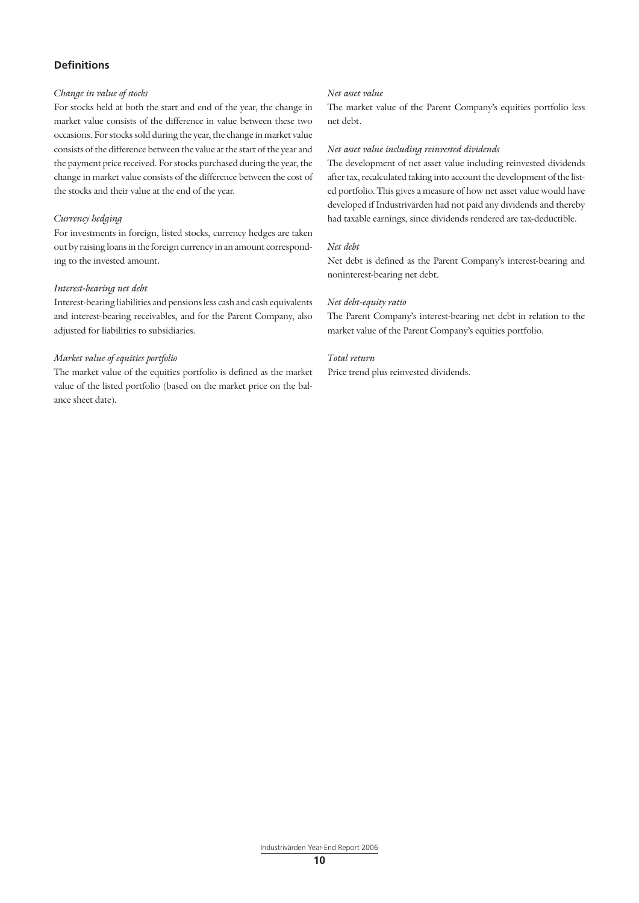#### **Definitions**

#### *Change in value of stocks*

For stocks held at both the start and end of the year, the change in market value consists of the difference in value between these two occasions. For stocks sold during the year, the change in market value consists of the difference between the value at the start of the year and the payment price received. For stocks purchased during the year, the change in market value consists of the difference between the cost of the stocks and their value at the end of the year.

#### *Currency hedging*

For investments in foreign, listed stocks, currency hedges are taken out by raising loans in the foreign currency in an amount corresponding to the invested amount.

#### *Interest-bearing net debt*

Interest-bearing liabilities and pensions less cash and cash equivalents and interest-bearing receivables, and for the Parent Company, also adjusted for liabilities to subsidiaries.

#### *Market value of equities portfolio*

The market value of the equities portfolio is defined as the market value of the listed portfolio (based on the market price on the balance sheet date).

#### *Net asset value*

The market value of the Parent Company's equities portfolio less net debt.

#### *Net asset value including reinvested dividends*

The development of net asset value including reinvested dividends after tax, recalculated taking into account the development of the listed portfolio. This gives a measure of how net asset value would have developed if Industrivärden had not paid any dividends and thereby had taxable earnings, since dividends rendered are tax-deductible.

#### *Net debt*

Net debt is defined as the Parent Company's interest-bearing and noninterest-bearing net debt.

#### *Net debt-equity ratio*

The Parent Company's interest-bearing net debt in relation to the market value of the Parent Company's equities portfolio.

#### *Total return*

Price trend plus reinvested dividends.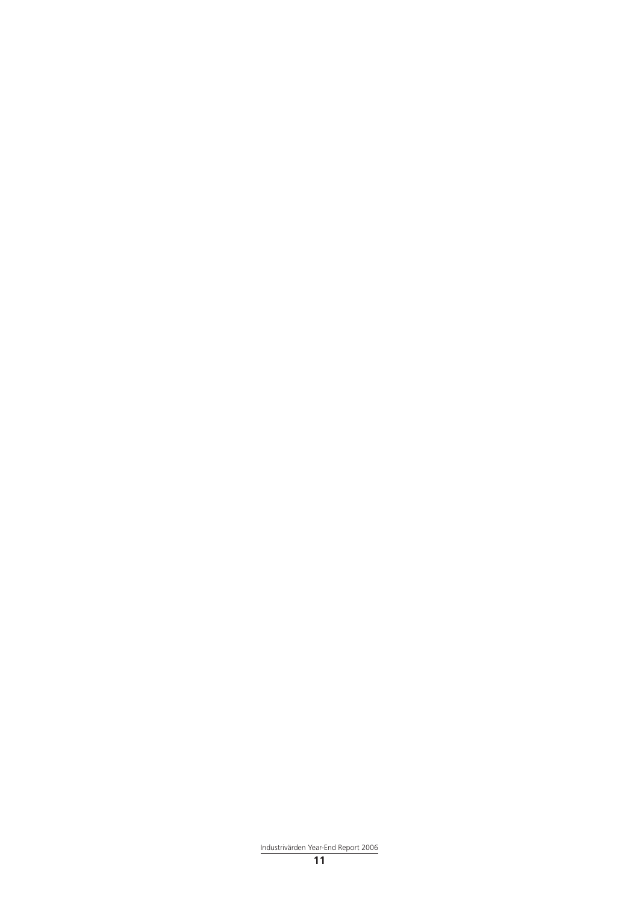#### Industrivärden Year-End Report 2006